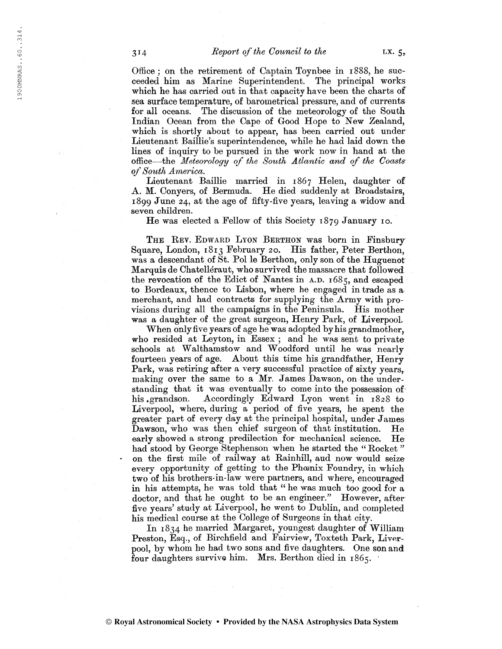Office ; on the retirement of Captain Toynbee in 1888, he succeeded him as Marine Superintendent. The principal works which he has carried out in that capacity have been the charts of sea surface temperature, of barometrical pressure, and of currents for all oceans. The discussion of the meteorology of the South Indian Ocean from the Cape of Good Hope to New Zealand, which is shortly about to appear, has been carried out under Lieutenant Baillie's superintendence, while he had laid down the lines of inquiry to be pursued in the work now in hand at the office—the Meteorology of the South Atlantic and of the Coasts of South America.

Lieutenant Baillie married in 1867 Helen, daughter of A. M. Conyers, of Bermuda. He died suddenly at Broadstairs, 1899 June 24, at the age of fifty-five years, leaving a widow and seven children.

He was elected a Fellow of this Society 1879 January 10.

THE REV. EDWARD LYON BERTHON was born in Finsbury Square, London, 1813 February 20. His father, Peter Berthon, was a descendant of St. Pol le Berthon, only son of the Huguenot Marquis de Chatelléraut, who survived the massacre that followed the revocation of the Edict of Nantes in  $A.D. 1685$ , and escaped to Bordeaux, thence to Lisbon, where he engaged in trade as a merchant, and had contracts for supplying the Army with provisions during all the campaigns in the Peninsula. His mother was a daughter of the great surgeon, Henry Park, of Liverpool.

When only five years of age he was adopted by his grandmother, who resided at Leyton, in Essex; and he was sent to private schools at Walthamstow and Woodford until he was nearly fourteen years of age. About this time his grandfather, Henry Park, was retiring after a very successful practice of sixty years, making over the same to a Mr. James Dawson, on the understanding that it was eventually to come into the possession of his grandson. Accordingly Edward Lyon went in 1828 to Liverpool, where, during a period of five years, he spent the greater part of every day at the principal hospital, under James Dawson, who was then chief surgeon of that institution. He early showed a strong predilection for mechanical science. He had stood by George Stephenson when he started the "Rocket" on the first mile of railway at Rainhill, aud now would seize every opportunity of getting to the Phœnix Foundry, in which two of his brothers-in-law were partners, and where, encouraged in his attempts, he was told that "he was much too good for a doctor, and that he ought to be an engineer." However, after five years' study at Liverpool, he went to Dublin, and completed his medical course at the College of Surgeons in that city.

In 1834 he married Margaret, youngest daughter of William Preston, Esq., of Birchfield and Fairview, Toxteth Park, Liverpool, by whom he had two sons and five daughters. One son and four daughters survive him. Mrs. Berthon died in 1865.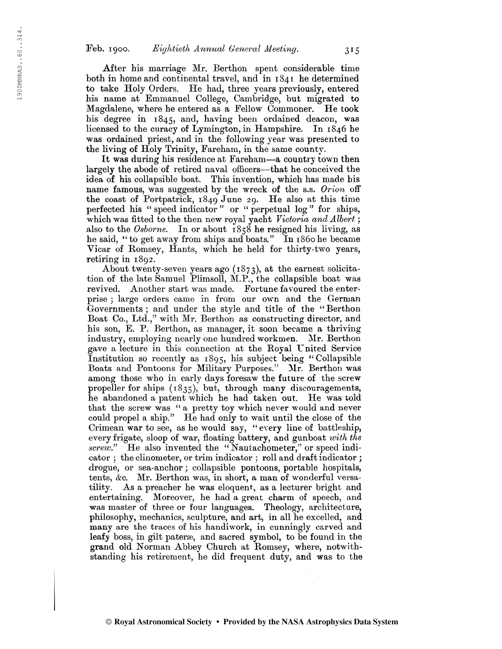After his marriage Mr. Berthen spent considerable time both in home and continental travel, and in 1841 he determined to take Holy Orders. He had, three years previously, entered his name at Emmanuel College, Cambridge, but migrated to Magdalene, where he entered as a Eellow Commoner. He took his degree in  $1845$ , and, having been ordained deacon, was licensed to the curacy of Lymington, in Hampshire. In 1846 he was ordained priest, and in the following year was presented to the living of Holy Trinity, Fareham, in the same county.

It was during his residence at Fareham—a country towm then largely the abode of retired naval officers—that he conceived the idea of his collapsible boat. This invention, which has made bis name famous, was suggested by the wreck of the s.s. Orion off the coast of Portpatrick, 1849 June 29. He also at this time perfected his " speed indicator " or " perpetual log " for ships, which was fitted to the then new royal yacht Victoria and Albert; also to the Osborne. In or about  $1858$  he resigned his living, as he said, " to get away from ships and boats." In 1860 he became Vicar of Romsey, Hants, which he held for thirty-two years, retiring in 1892.

About twenty-seven years ago (1873), at the earnest solicitation of the late Samuel Plimsoll, M.P., the collapsible boat was revived. Another start was made. Fortune favoured the enterprise ; large orders came in from our own and the German Governments ; and under the style and title of the " Berthon Boat Co., Ltd.," with Mr. Berthon as constructing director, and his son, E. P. Berthon, as manager, it soon became a thriving industry, employing nearly one hundred workmen. Mr. Berthon gave a lecture in this connection at the Royal United Service Institution so recently as  $1895$ , his subject being "Collapsible Boats and Pontoons for Military Purposes." Mr. Berthon was among those who in early days foresaw the future of the screw propeller for ships (1835), but, through many discouragements, he abandoned a patent which he had taken out. He was told that the screw was " a pretty toy which never would and never could propel a ship." He had only to wait until the close of the Crimean war to see, as he would say, " every line of battleship, every frigate, sloop of war, floating battery, and gunboat with the screw." He also invented the "Nautachometer," or speed indicator ; the clinometer, or trim indicator : roll and draftindicator ; drogue, or sea-anchor ; collapsible pontoons, portable hospitals, tents, &c. Mr. Berthon was, in short, a man of wonderful versatility. As a preacher he was eloquent, as a lecturer bright and entertaining. Moreover, he had a great charm of speech, and was master of three or four languages. Theology, architecture, philosophy, mechanics, sculpture, and art, in all he excelled, and many are the traces of his handiwork, in cunningly carved and leafy boss, in gilt pateræ, and sacred symbol, to be found in the grand old Norman Abbey Church at Romsey, where, notwithstanding his retirement, he did frequent duty, and was to the